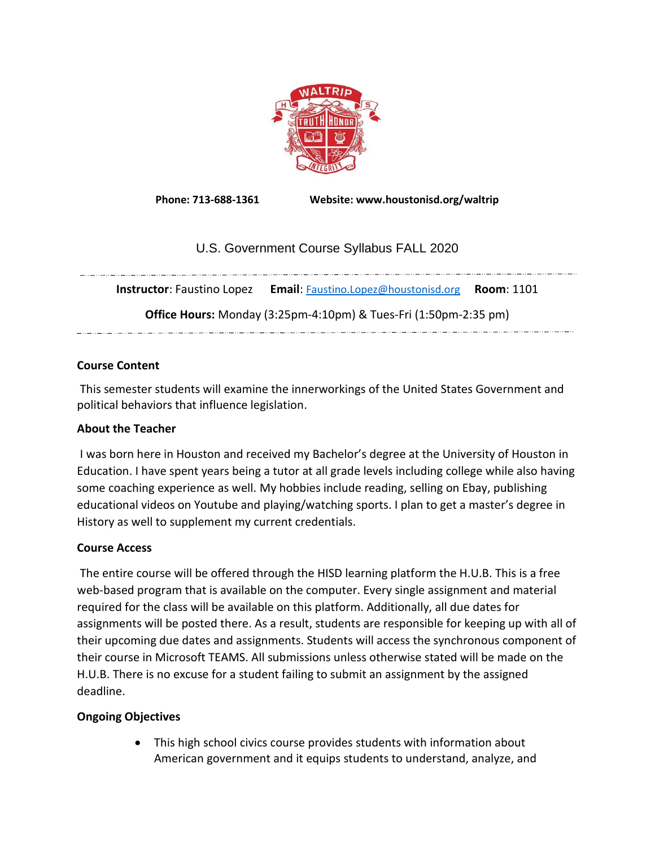

**Phone: 713-688-1361 Website: www.houstonisd.org/waltrip**

# U.S. Government Course Syllabus FALL 2020

**Instructor**: Faustino Lopez **Email**: [Faustino.Lopez@houstonisd.org](mailto:Faustino.Lopez@houstonisd.org) **Room**: 1101 **Office Hours:** Monday (3:25pm-4:10pm) & Tues-Fri (1:50pm-2:35 pm) 

# **Course Content**

This semester students will examine the innerworkings of the United States Government and political behaviors that influence legislation.

# **About the Teacher**

I was born here in Houston and received my Bachelor's degree at the University of Houston in Education. I have spent years being a tutor at all grade levels including college while also having some coaching experience as well. My hobbies include reading, selling on Ebay, publishing educational videos on Youtube and playing/watching sports. I plan to get a master's degree in History as well to supplement my current credentials.

# **Course Access**

The entire course will be offered through the HISD learning platform the H.U.B. This is a free web-based program that is available on the computer. Every single assignment and material required for the class will be available on this platform. Additionally, all due dates for assignments will be posted there. As a result, students are responsible for keeping up with all of their upcoming due dates and assignments. Students will access the synchronous component of their course in Microsoft TEAMS. All submissions unless otherwise stated will be made on the H.U.B. There is no excuse for a student failing to submit an assignment by the assigned deadline.

# **Ongoing Objectives**

• This high school civics course provides students with information about American government and it equips students to understand, analyze, and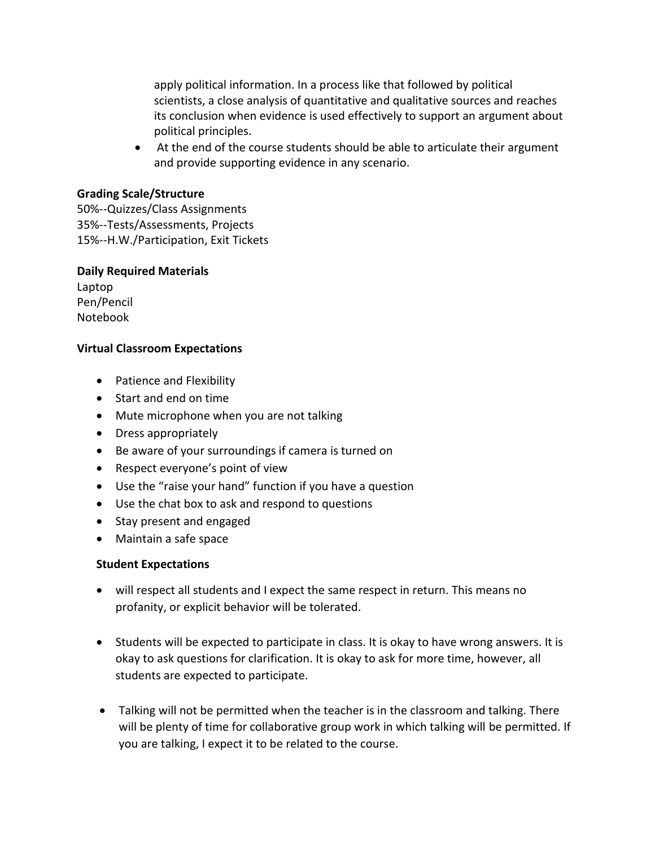apply political information. In a process like that followed by political scientists, a close analysis of quantitative and qualitative sources and reaches its conclusion when evidence is used effectively to support an argument about political principles.

• At the end of the course students should be able to articulate their argument and provide supporting evidence in any scenario.

#### **Grading Scale/Structure**

50%--Quizzes/Class Assignments 35%--Tests/Assessments, Projects 15%--H.W./Participation, Exit Tickets

### **Daily Required Materials**

Laptop Pen/Pencil Notebook

# **Virtual Classroom Expectations**

- Patience and Flexibility
- Start and end on time
- Mute microphone when you are not talking
- Dress appropriately
- Be aware of your surroundings if camera is turned on
- Respect everyone's point of view
- Use the "raise your hand" function if you have a question
- Use the chat box to ask and respond to questions
- Stay present and engaged
- Maintain a safe space

# **Student Expectations**

- will respect all students and I expect the same respect in return. This means no profanity, or explicit behavior will be tolerated.
- Students will be expected to participate in class. It is okay to have wrong answers. It is okay to ask questions for clarification. It is okay to ask for more time, however, all students are expected to participate.
- Talking will not be permitted when the teacher is in the classroom and talking. There will be plenty of time for collaborative group work in which talking will be permitted. If you are talking, I expect it to be related to the course.